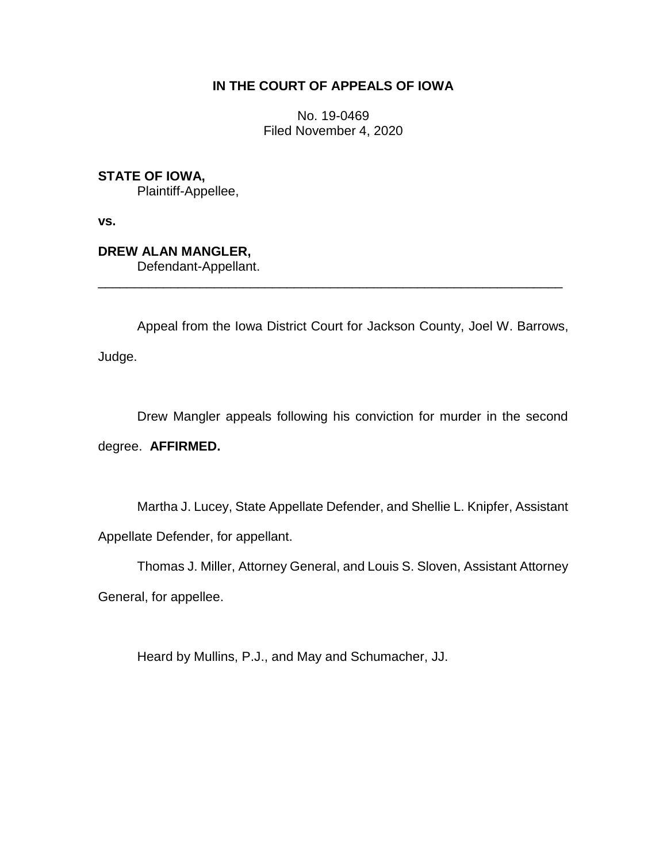## **IN THE COURT OF APPEALS OF IOWA**

No. 19-0469 Filed November 4, 2020

**STATE OF IOWA,**

Plaintiff-Appellee,

**vs.**

**DREW ALAN MANGLER,** Defendant-Appellant.

Appeal from the Iowa District Court for Jackson County, Joel W. Barrows,

\_\_\_\_\_\_\_\_\_\_\_\_\_\_\_\_\_\_\_\_\_\_\_\_\_\_\_\_\_\_\_\_\_\_\_\_\_\_\_\_\_\_\_\_\_\_\_\_\_\_\_\_\_\_\_\_\_\_\_\_\_\_\_\_

Judge.

Drew Mangler appeals following his conviction for murder in the second

degree. **AFFIRMED.**

Martha J. Lucey, State Appellate Defender, and Shellie L. Knipfer, Assistant Appellate Defender, for appellant.

Thomas J. Miller, Attorney General, and Louis S. Sloven, Assistant Attorney

General, for appellee.

Heard by Mullins, P.J., and May and Schumacher, JJ.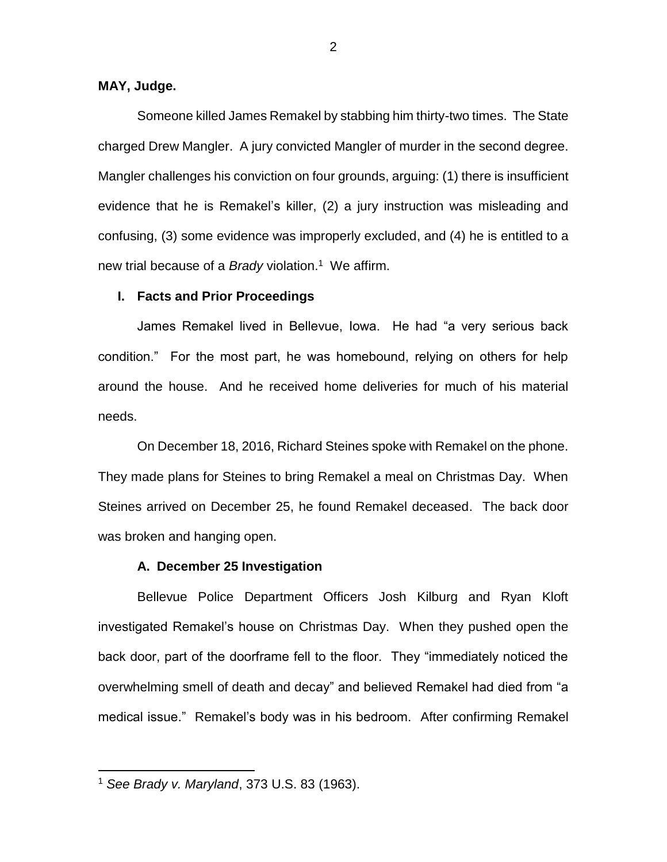### **MAY, Judge.**

Someone killed James Remakel by stabbing him thirty-two times. The State charged Drew Mangler. A jury convicted Mangler of murder in the second degree. Mangler challenges his conviction on four grounds, arguing: (1) there is insufficient evidence that he is Remakel's killer, (2) a jury instruction was misleading and confusing, (3) some evidence was improperly excluded, and (4) he is entitled to a new trial because of a *Brady* violation.<sup>1</sup> We affirm.

#### **I. Facts and Prior Proceedings**

James Remakel lived in Bellevue, Iowa. He had "a very serious back condition." For the most part, he was homebound, relying on others for help around the house. And he received home deliveries for much of his material needs.

On December 18, 2016, Richard Steines spoke with Remakel on the phone. They made plans for Steines to bring Remakel a meal on Christmas Day. When Steines arrived on December 25, he found Remakel deceased. The back door was broken and hanging open.

#### **A. December 25 Investigation**

Bellevue Police Department Officers Josh Kilburg and Ryan Kloft investigated Remakel's house on Christmas Day. When they pushed open the back door, part of the doorframe fell to the floor. They "immediately noticed the overwhelming smell of death and decay" and believed Remakel had died from "a medical issue." Remakel's body was in his bedroom. After confirming Remakel

<sup>1</sup> *See Brady v. Maryland*, 373 U.S. 83 (1963).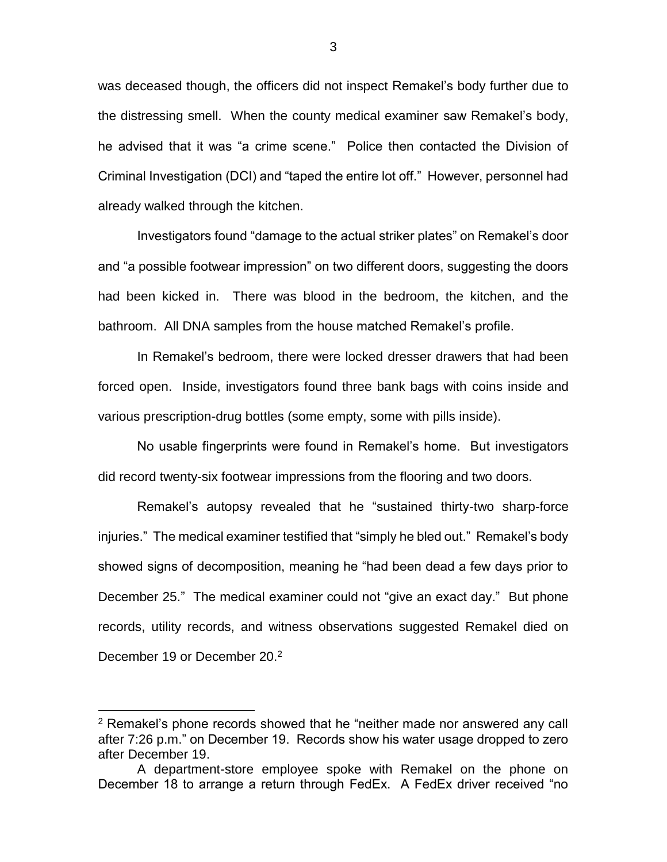was deceased though, the officers did not inspect Remakel's body further due to the distressing smell. When the county medical examiner saw Remakel's body, he advised that it was "a crime scene." Police then contacted the Division of Criminal Investigation (DCI) and "taped the entire lot off." However, personnel had already walked through the kitchen.

Investigators found "damage to the actual striker plates" on Remakel's door and "a possible footwear impression" on two different doors, suggesting the doors had been kicked in. There was blood in the bedroom, the kitchen, and the bathroom. All DNA samples from the house matched Remakel's profile.

In Remakel's bedroom, there were locked dresser drawers that had been forced open. Inside, investigators found three bank bags with coins inside and various prescription-drug bottles (some empty, some with pills inside).

No usable fingerprints were found in Remakel's home. But investigators did record twenty-six footwear impressions from the flooring and two doors.

Remakel's autopsy revealed that he "sustained thirty-two sharp-force injuries." The medical examiner testified that "simply he bled out." Remakel's body showed signs of decomposition, meaning he "had been dead a few days prior to December 25." The medical examiner could not "give an exact day." But phone records, utility records, and witness observations suggested Remakel died on December 19 or December 20.<sup>2</sup>

<sup>2</sup> Remakel's phone records showed that he "neither made nor answered any call after 7:26 p.m." on December 19. Records show his water usage dropped to zero after December 19.

A department-store employee spoke with Remakel on the phone on December 18 to arrange a return through FedEx. A FedEx driver received "no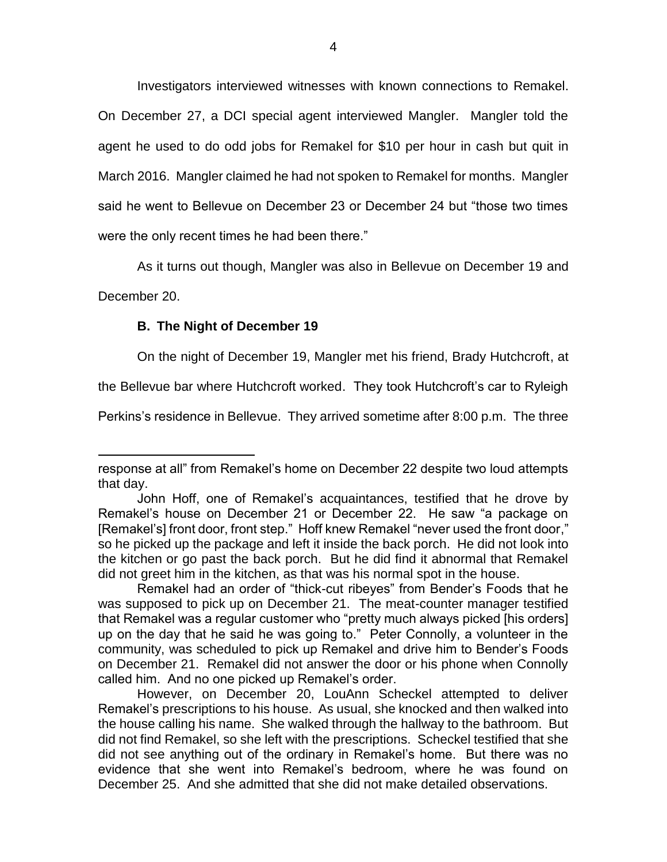Investigators interviewed witnesses with known connections to Remakel. On December 27, a DCI special agent interviewed Mangler. Mangler told the agent he used to do odd jobs for Remakel for \$10 per hour in cash but quit in March 2016. Mangler claimed he had not spoken to Remakel for months. Mangler said he went to Bellevue on December 23 or December 24 but "those two times were the only recent times he had been there."

As it turns out though, Mangler was also in Bellevue on December 19 and

December 20.

 $\overline{a}$ 

### **B. The Night of December 19**

On the night of December 19, Mangler met his friend, Brady Hutchcroft, at

the Bellevue bar where Hutchcroft worked. They took Hutchcroft's car to Ryleigh

Perkins's residence in Bellevue. They arrived sometime after 8:00 p.m. The three

response at all" from Remakel's home on December 22 despite two loud attempts that day.

John Hoff, one of Remakel's acquaintances, testified that he drove by Remakel's house on December 21 or December 22. He saw "a package on [Remakel's] front door, front step." Hoff knew Remakel "never used the front door," so he picked up the package and left it inside the back porch. He did not look into the kitchen or go past the back porch. But he did find it abnormal that Remakel did not greet him in the kitchen, as that was his normal spot in the house.

Remakel had an order of "thick-cut ribeyes" from Bender's Foods that he was supposed to pick up on December 21. The meat-counter manager testified that Remakel was a regular customer who "pretty much always picked [his orders] up on the day that he said he was going to." Peter Connolly, a volunteer in the community, was scheduled to pick up Remakel and drive him to Bender's Foods on December 21. Remakel did not answer the door or his phone when Connolly called him. And no one picked up Remakel's order.

However, on December 20, LouAnn Scheckel attempted to deliver Remakel's prescriptions to his house. As usual, she knocked and then walked into the house calling his name. She walked through the hallway to the bathroom. But did not find Remakel, so she left with the prescriptions. Scheckel testified that she did not see anything out of the ordinary in Remakel's home. But there was no evidence that she went into Remakel's bedroom, where he was found on December 25. And she admitted that she did not make detailed observations.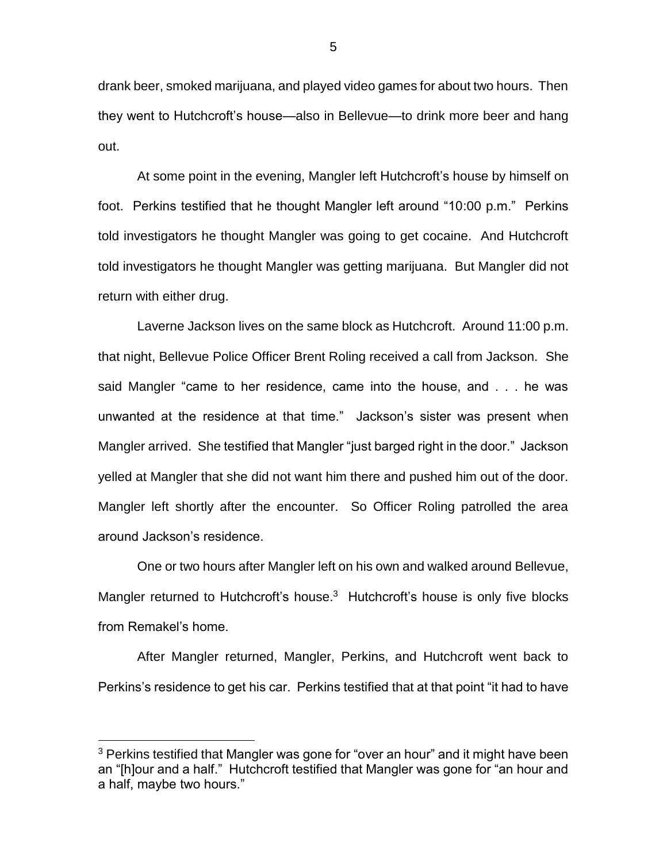drank beer, smoked marijuana, and played video games for about two hours. Then they went to Hutchcroft's house—also in Bellevue—to drink more beer and hang out.

At some point in the evening, Mangler left Hutchcroft's house by himself on foot. Perkins testified that he thought Mangler left around "10:00 p.m." Perkins told investigators he thought Mangler was going to get cocaine. And Hutchcroft told investigators he thought Mangler was getting marijuana. But Mangler did not return with either drug.

Laverne Jackson lives on the same block as Hutchcroft. Around 11:00 p.m. that night, Bellevue Police Officer Brent Roling received a call from Jackson. She said Mangler "came to her residence, came into the house, and . . . he was unwanted at the residence at that time." Jackson's sister was present when Mangler arrived. She testified that Mangler "just barged right in the door." Jackson yelled at Mangler that she did not want him there and pushed him out of the door. Mangler left shortly after the encounter. So Officer Roling patrolled the area around Jackson's residence.

One or two hours after Mangler left on his own and walked around Bellevue, Mangler returned to Hutchcroft's house.<sup>3</sup> Hutchcroft's house is only five blocks from Remakel's home.

After Mangler returned, Mangler, Perkins, and Hutchcroft went back to Perkins's residence to get his car. Perkins testified that at that point "it had to have

 $3$  Perkins testified that Mangler was gone for "over an hour" and it might have been an "[h]our and a half." Hutchcroft testified that Mangler was gone for "an hour and a half, maybe two hours."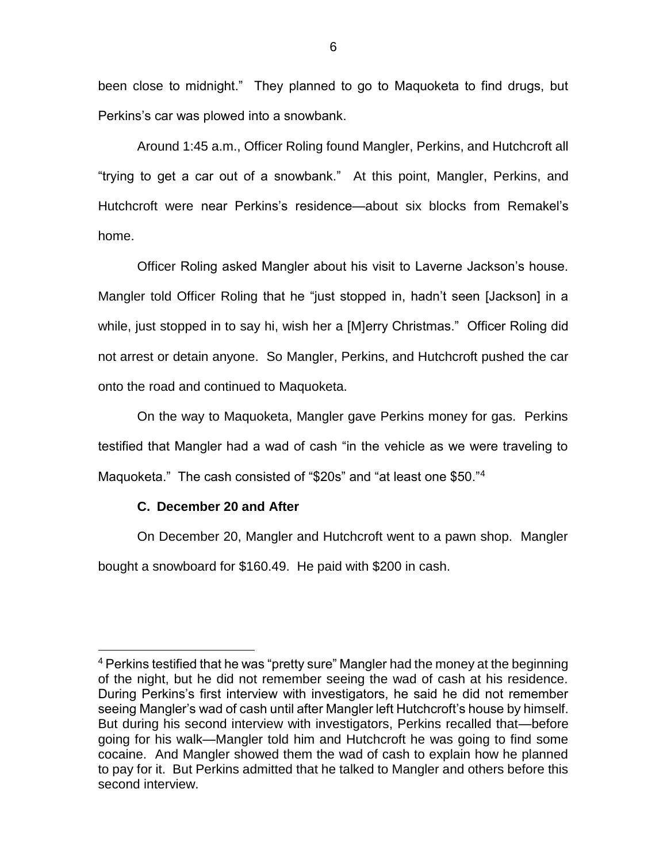been close to midnight." They planned to go to Maquoketa to find drugs, but Perkins's car was plowed into a snowbank.

Around 1:45 a.m., Officer Roling found Mangler, Perkins, and Hutchcroft all "trying to get a car out of a snowbank." At this point, Mangler, Perkins, and Hutchcroft were near Perkins's residence—about six blocks from Remakel's home.

Officer Roling asked Mangler about his visit to Laverne Jackson's house. Mangler told Officer Roling that he "just stopped in, hadn't seen [Jackson] in a while, just stopped in to say hi, wish her a [M]erry Christmas." Officer Roling did not arrest or detain anyone. So Mangler, Perkins, and Hutchcroft pushed the car onto the road and continued to Maquoketa.

On the way to Maquoketa, Mangler gave Perkins money for gas. Perkins testified that Mangler had a wad of cash "in the vehicle as we were traveling to Maquoketa." The cash consisted of "\$20s" and "at least one \$50."<sup>4</sup>

### **C. December 20 and After**

 $\overline{a}$ 

On December 20, Mangler and Hutchcroft went to a pawn shop. Mangler bought a snowboard for \$160.49. He paid with \$200 in cash.

<sup>&</sup>lt;sup>4</sup> Perkins testified that he was "pretty sure" Mangler had the money at the beginning of the night, but he did not remember seeing the wad of cash at his residence. During Perkins's first interview with investigators, he said he did not remember seeing Mangler's wad of cash until after Mangler left Hutchcroft's house by himself. But during his second interview with investigators, Perkins recalled that—before going for his walk—Mangler told him and Hutchcroft he was going to find some cocaine. And Mangler showed them the wad of cash to explain how he planned to pay for it. But Perkins admitted that he talked to Mangler and others before this second interview.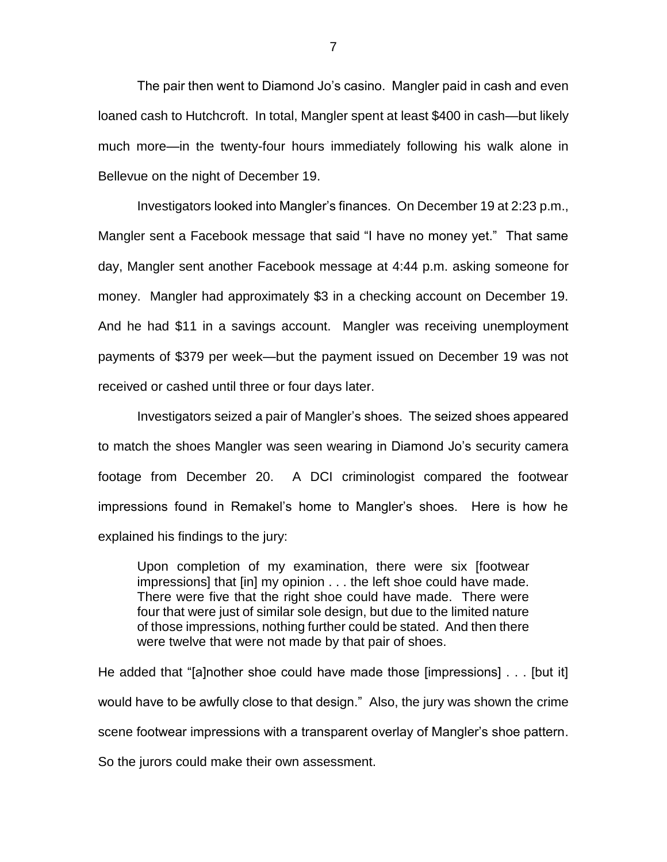The pair then went to Diamond Jo's casino. Mangler paid in cash and even loaned cash to Hutchcroft. In total, Mangler spent at least \$400 in cash—but likely much more—in the twenty-four hours immediately following his walk alone in Bellevue on the night of December 19.

Investigators looked into Mangler's finances. On December 19 at 2:23 p.m., Mangler sent a Facebook message that said "I have no money yet." That same day, Mangler sent another Facebook message at 4:44 p.m. asking someone for money. Mangler had approximately \$3 in a checking account on December 19. And he had \$11 in a savings account. Mangler was receiving unemployment payments of \$379 per week—but the payment issued on December 19 was not received or cashed until three or four days later.

Investigators seized a pair of Mangler's shoes. The seized shoes appeared to match the shoes Mangler was seen wearing in Diamond Jo's security camera footage from December 20. A DCI criminologist compared the footwear impressions found in Remakel's home to Mangler's shoes. Here is how he explained his findings to the jury:

Upon completion of my examination, there were six [footwear impressions] that [in] my opinion . . . the left shoe could have made. There were five that the right shoe could have made. There were four that were just of similar sole design, but due to the limited nature of those impressions, nothing further could be stated. And then there were twelve that were not made by that pair of shoes.

He added that "[a]nother shoe could have made those [impressions] . . . [but it] would have to be awfully close to that design." Also, the jury was shown the crime scene footwear impressions with a transparent overlay of Mangler's shoe pattern. So the jurors could make their own assessment.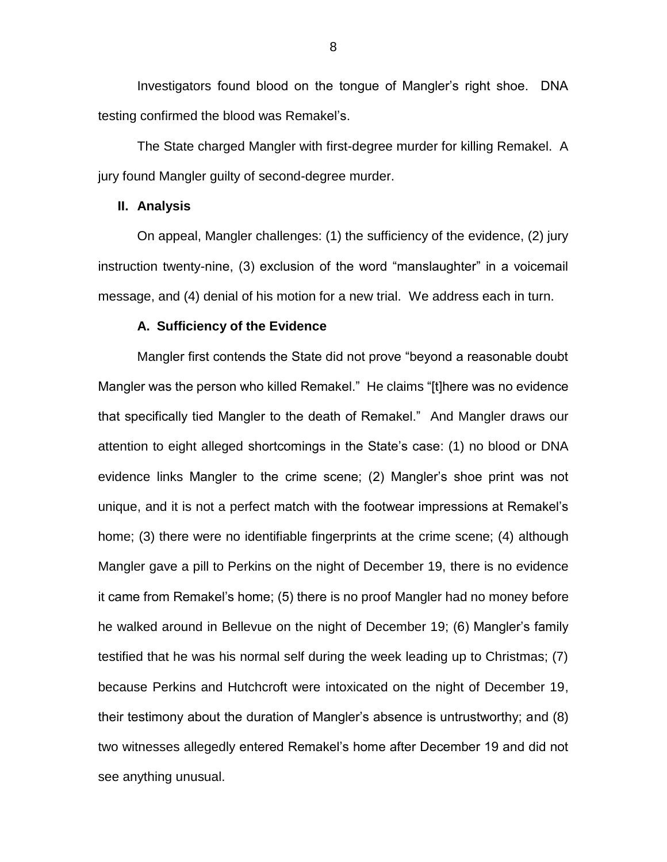Investigators found blood on the tongue of Mangler's right shoe. DNA testing confirmed the blood was Remakel's.

The State charged Mangler with first-degree murder for killing Remakel. A jury found Mangler guilty of second-degree murder.

#### **II. Analysis**

On appeal, Mangler challenges: (1) the sufficiency of the evidence, (2) jury instruction twenty-nine, (3) exclusion of the word "manslaughter" in a voicemail message, and (4) denial of his motion for a new trial. We address each in turn.

#### **A. Sufficiency of the Evidence**

Mangler first contends the State did not prove "beyond a reasonable doubt Mangler was the person who killed Remakel." He claims "[t]here was no evidence that specifically tied Mangler to the death of Remakel." And Mangler draws our attention to eight alleged shortcomings in the State's case: (1) no blood or DNA evidence links Mangler to the crime scene; (2) Mangler's shoe print was not unique, and it is not a perfect match with the footwear impressions at Remakel's home; (3) there were no identifiable fingerprints at the crime scene; (4) although Mangler gave a pill to Perkins on the night of December 19, there is no evidence it came from Remakel's home; (5) there is no proof Mangler had no money before he walked around in Bellevue on the night of December 19; (6) Mangler's family testified that he was his normal self during the week leading up to Christmas; (7) because Perkins and Hutchcroft were intoxicated on the night of December 19, their testimony about the duration of Mangler's absence is untrustworthy; and (8) two witnesses allegedly entered Remakel's home after December 19 and did not see anything unusual.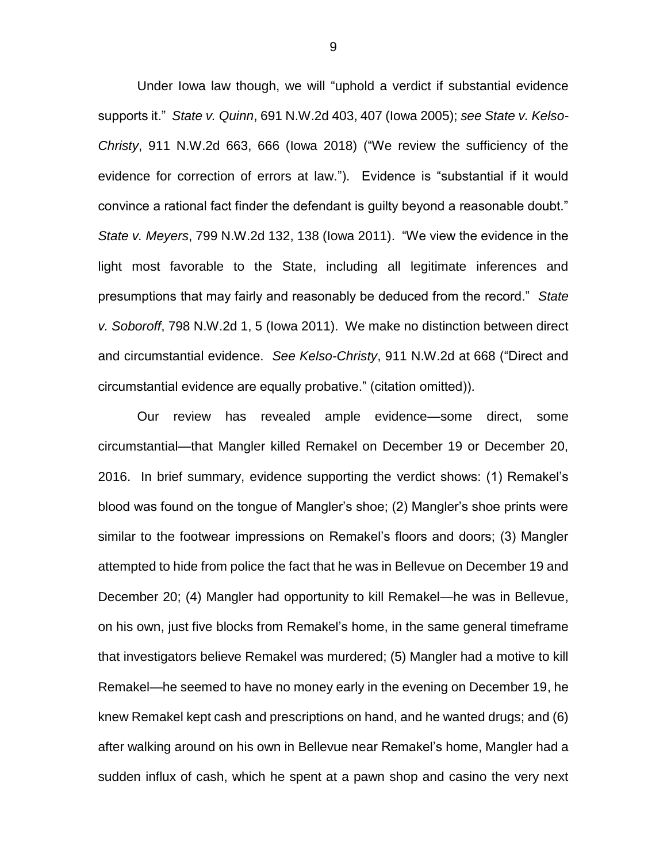Under Iowa law though, we will "uphold a verdict if substantial evidence supports it." *State v. Quinn*, 691 N.W.2d 403, 407 (Iowa 2005); *see State v. Kelso-Christy*, 911 N.W.2d 663, 666 (Iowa 2018) ("We review the sufficiency of the evidence for correction of errors at law."). Evidence is "substantial if it would convince a rational fact finder the defendant is guilty beyond a reasonable doubt." *State v. Meyers*, 799 N.W.2d 132, 138 (Iowa 2011). "We view the evidence in the light most favorable to the State, including all legitimate inferences and presumptions that may fairly and reasonably be deduced from the record." *State v. Soboroff*, 798 N.W.2d 1, 5 (Iowa 2011). We make no distinction between direct and circumstantial evidence. *See Kelso-Christy*, 911 N.W.2d at 668 ("Direct and circumstantial evidence are equally probative." (citation omitted)).

Our review has revealed ample evidence—some direct, some circumstantial—that Mangler killed Remakel on December 19 or December 20, 2016. In brief summary, evidence supporting the verdict shows: (1) Remakel's blood was found on the tongue of Mangler's shoe; (2) Mangler's shoe prints were similar to the footwear impressions on Remakel's floors and doors; (3) Mangler attempted to hide from police the fact that he was in Bellevue on December 19 and December 20; (4) Mangler had opportunity to kill Remakel—he was in Bellevue, on his own, just five blocks from Remakel's home, in the same general timeframe that investigators believe Remakel was murdered; (5) Mangler had a motive to kill Remakel—he seemed to have no money early in the evening on December 19, he knew Remakel kept cash and prescriptions on hand, and he wanted drugs; and (6) after walking around on his own in Bellevue near Remakel's home, Mangler had a sudden influx of cash, which he spent at a pawn shop and casino the very next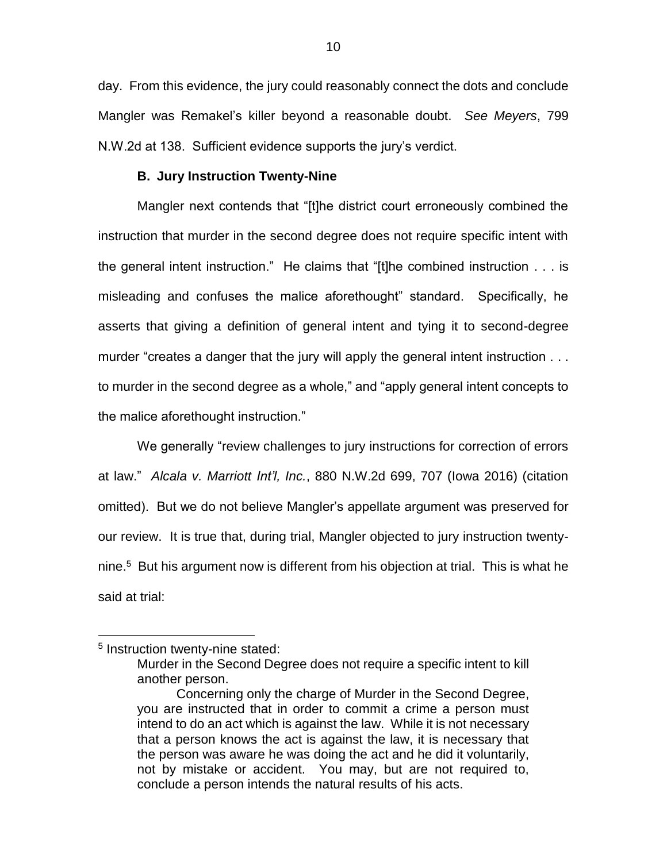day. From this evidence, the jury could reasonably connect the dots and conclude Mangler was Remakel's killer beyond a reasonable doubt. *See Meyers*, 799 N.W.2d at 138. Sufficient evidence supports the jury's verdict.

#### **B. Jury Instruction Twenty-Nine**

Mangler next contends that "[t]he district court erroneously combined the instruction that murder in the second degree does not require specific intent with the general intent instruction." He claims that "[t]he combined instruction . . . is misleading and confuses the malice aforethought" standard. Specifically, he asserts that giving a definition of general intent and tying it to second-degree murder "creates a danger that the jury will apply the general intent instruction . . . to murder in the second degree as a whole," and "apply general intent concepts to the malice aforethought instruction."

We generally "review challenges to jury instructions for correction of errors at law." *Alcala v. Marriott Int'l, Inc.*, 880 N.W.2d 699, 707 (Iowa 2016) (citation omitted). But we do not believe Mangler's appellate argument was preserved for our review. It is true that, during trial, Mangler objected to jury instruction twentynine.<sup>5</sup> But his argument now is different from his objection at trial. This is what he said at trial:

<sup>&</sup>lt;sup>5</sup> Instruction twenty-nine stated:

Murder in the Second Degree does not require a specific intent to kill another person.

Concerning only the charge of Murder in the Second Degree, you are instructed that in order to commit a crime a person must intend to do an act which is against the law. While it is not necessary that a person knows the act is against the law, it is necessary that the person was aware he was doing the act and he did it voluntarily, not by mistake or accident. You may, but are not required to, conclude a person intends the natural results of his acts.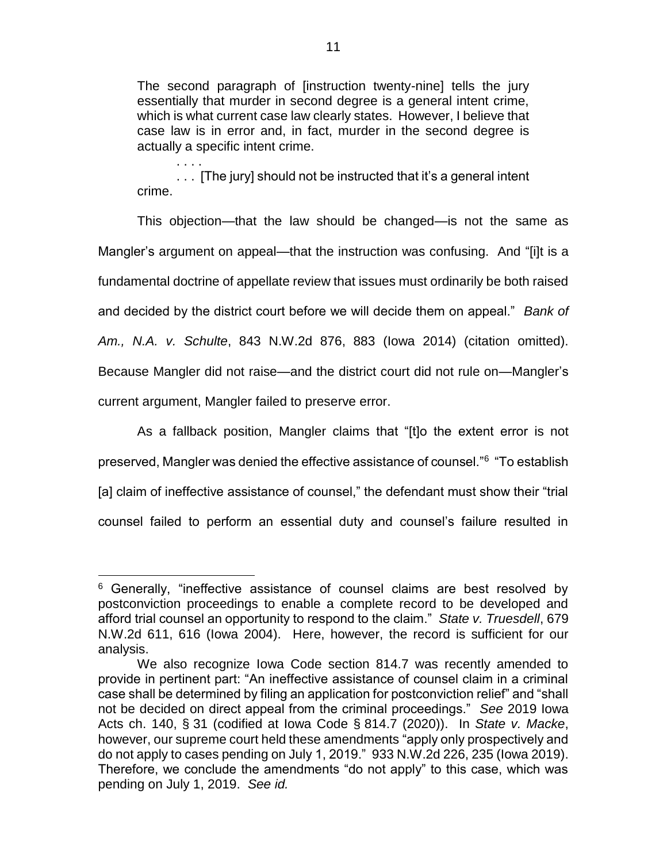The second paragraph of [instruction twenty-nine] tells the jury essentially that murder in second degree is a general intent crime, which is what current case law clearly states. However, I believe that case law is in error and, in fact, murder in the second degree is actually a specific intent crime.

. . . . ... [The jury] should not be instructed that it's a general intent crime.

This objection—that the law should be changed—is not the same as Mangler's argument on appeal—that the instruction was confusing. And "[i]t is a fundamental doctrine of appellate review that issues must ordinarily be both raised and decided by the district court before we will decide them on appeal." *Bank of Am., N.A. v. Schulte*, 843 N.W.2d 876, 883 (Iowa 2014) (citation omitted). Because Mangler did not raise—and the district court did not rule on—Mangler's current argument, Mangler failed to preserve error.

As a fallback position, Mangler claims that "[t]o the extent error is not preserved, Mangler was denied the effective assistance of counsel."<sup>6</sup> "To establish [a] claim of ineffective assistance of counsel," the defendant must show their "trial counsel failed to perform an essential duty and counsel's failure resulted in

 $\overline{a}$  $6$  Generally, "ineffective assistance of counsel claims are best resolved by postconviction proceedings to enable a complete record to be developed and afford trial counsel an opportunity to respond to the claim." *State v. Truesdell*, 679 N.W.2d 611, 616 (Iowa 2004). Here, however, the record is sufficient for our analysis.

We also recognize Iowa Code section 814.7 was recently amended to provide in pertinent part: "An ineffective assistance of counsel claim in a criminal case shall be determined by filing an application for postconviction relief" and "shall not be decided on direct appeal from the criminal proceedings." *See* 2019 Iowa Acts ch. 140, § 31 (codified at Iowa Code § 814.7 (2020)). In *State v. Macke*, however, our supreme court held these amendments "apply only prospectively and do not apply to cases pending on July 1, 2019." 933 N.W.2d 226, 235 (Iowa 2019). Therefore, we conclude the amendments "do not apply" to this case, which was pending on July 1, 2019. *See id.*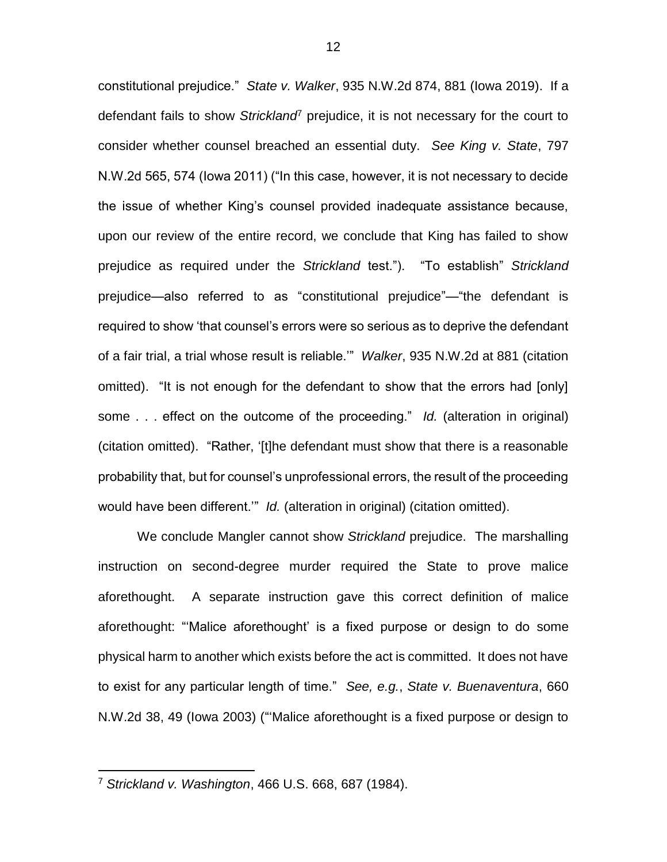constitutional prejudice." *State v. Walker*, 935 N.W.2d 874, 881 (Iowa 2019). If a defendant fails to show *Strickland*<sup>7</sup> prejudice, it is not necessary for the court to consider whether counsel breached an essential duty. *See King v. State*, 797 N.W.2d 565, 574 (Iowa 2011) ("In this case, however, it is not necessary to decide the issue of whether King's counsel provided inadequate assistance because, upon our review of the entire record, we conclude that King has failed to show prejudice as required under the *Strickland* test."). "To establish" *Strickland* prejudice—also referred to as "constitutional prejudice"—"the defendant is required to show 'that counsel's errors were so serious as to deprive the defendant of a fair trial, a trial whose result is reliable.'" *Walker*, 935 N.W.2d at 881 (citation omitted). "It is not enough for the defendant to show that the errors had [only] some . . . effect on the outcome of the proceeding." *Id.* (alteration in original) (citation omitted). "Rather, '[t]he defendant must show that there is a reasonable probability that, but for counsel's unprofessional errors, the result of the proceeding would have been different.'" *Id.* (alteration in original) (citation omitted).

We conclude Mangler cannot show *Strickland* prejudice. The marshalling instruction on second-degree murder required the State to prove malice aforethought. A separate instruction gave this correct definition of malice aforethought: "'Malice aforethought' is a fixed purpose or design to do some physical harm to another which exists before the act is committed. It does not have to exist for any particular length of time." *See, e.g.*, *State v. Buenaventura*, 660 N.W.2d 38, 49 (Iowa 2003) ("'Malice aforethought is a fixed purpose or design to

<sup>7</sup> *Strickland v. Washington*, 466 U.S. 668, 687 (1984).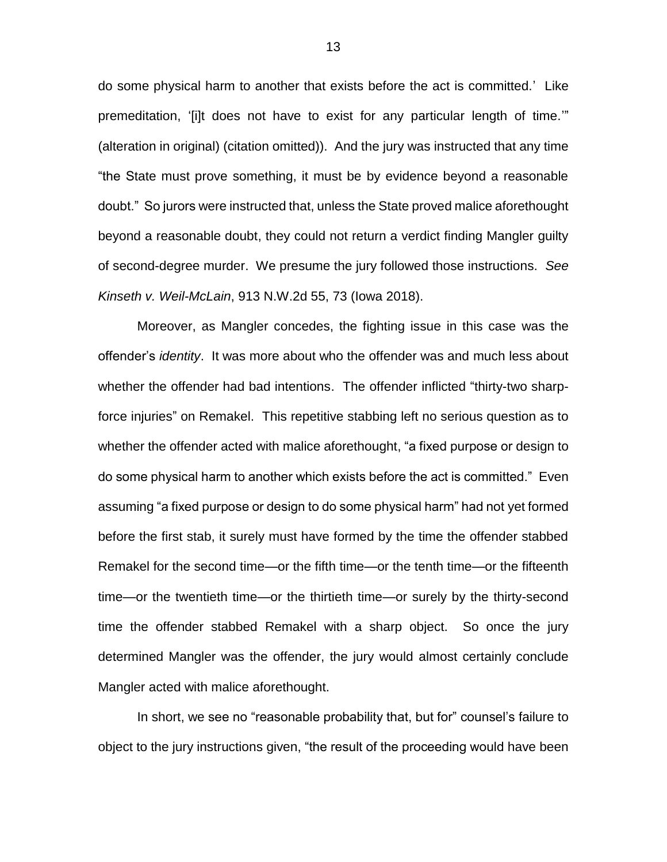do some physical harm to another that exists before the act is committed.' Like premeditation, '[i]t does not have to exist for any particular length of time.'" (alteration in original) (citation omitted)). And the jury was instructed that any time "the State must prove something, it must be by evidence beyond a reasonable doubt." So jurors were instructed that, unless the State proved malice aforethought beyond a reasonable doubt, they could not return a verdict finding Mangler guilty of second-degree murder. We presume the jury followed those instructions. *See Kinseth v. Weil-McLain*, 913 N.W.2d 55, 73 (Iowa 2018).

Moreover, as Mangler concedes, the fighting issue in this case was the offender's *identity*. It was more about who the offender was and much less about whether the offender had bad intentions. The offender inflicted "thirty-two sharpforce injuries" on Remakel. This repetitive stabbing left no serious question as to whether the offender acted with malice aforethought, "a fixed purpose or design to do some physical harm to another which exists before the act is committed." Even assuming "a fixed purpose or design to do some physical harm" had not yet formed before the first stab, it surely must have formed by the time the offender stabbed Remakel for the second time—or the fifth time—or the tenth time—or the fifteenth time—or the twentieth time—or the thirtieth time—or surely by the thirty-second time the offender stabbed Remakel with a sharp object. So once the jury determined Mangler was the offender, the jury would almost certainly conclude Mangler acted with malice aforethought.

In short, we see no "reasonable probability that, but for" counsel's failure to object to the jury instructions given, "the result of the proceeding would have been

13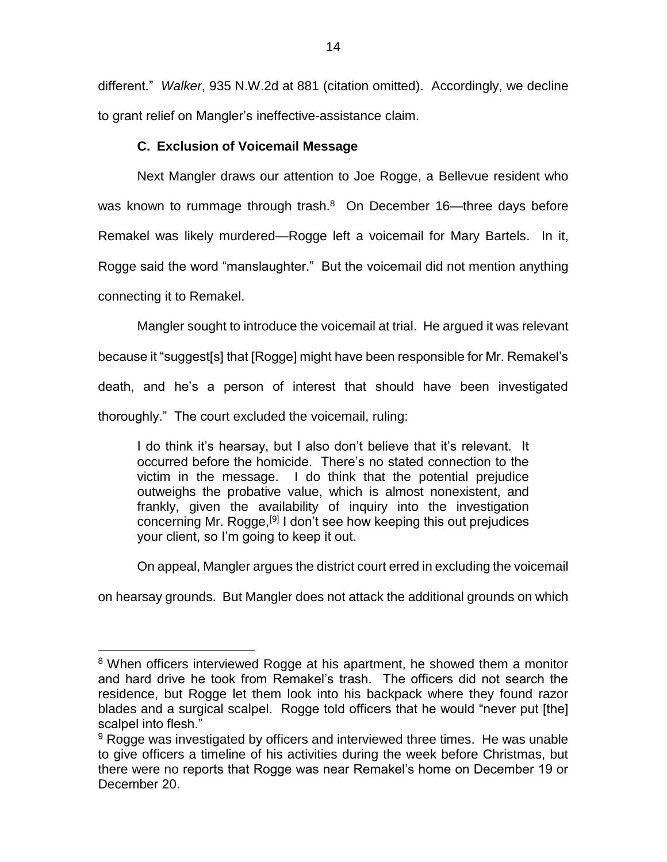different." *Walker*, 935 N.W.2d at 881 (citation omitted). Accordingly, we decline to grant relief on Mangler's ineffective-assistance claim.

# **C. Exclusion of Voicemail Message**

Next Mangler draws our attention to Joe Rogge, a Bellevue resident who was known to rummage through trash.<sup>8</sup> On December 16—three days before Remakel was likely murdered—Rogge left a voicemail for Mary Bartels. In it, Rogge said the word "manslaughter." But the voicemail did not mention anything connecting it to Remakel.

Mangler sought to introduce the voicemail at trial. He argued it was relevant because it "suggest[s] that [Rogge] might have been responsible for Mr. Remakel's death, and he's a person of interest that should have been investigated thoroughly." The court excluded the voicemail, ruling:

I do think it's hearsay, but I also don't believe that it's relevant. It occurred before the homicide. There's no stated connection to the victim in the message. I do think that the potential prejudice outweighs the probative value, which is almost nonexistent, and frankly, given the availability of inquiry into the investigation concerning Mr. Rogge,<sup>[9]</sup> I don't see how keeping this out prejudices your client, so I'm going to keep it out.

On appeal, Mangler argues the district court erred in excluding the voicemail

on hearsay grounds. But Mangler does not attack the additional grounds on which

<sup>&</sup>lt;sup>8</sup> When officers interviewed Rogge at his apartment, he showed them a monitor and hard drive he took from Remakel's trash. The officers did not search the residence, but Rogge let them look into his backpack where they found razor blades and a surgical scalpel. Rogge told officers that he would "never put [the] scalpel into flesh."

 $9$  Rogge was investigated by officers and interviewed three times. He was unable to give officers a timeline of his activities during the week before Christmas, but there were no reports that Rogge was near Remakel's home on December 19 or December 20.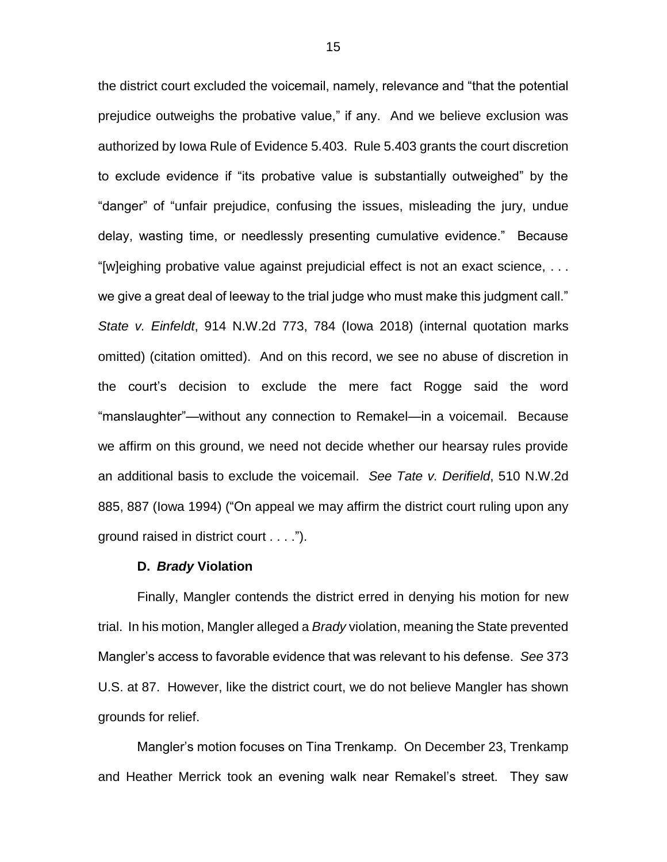the district court excluded the voicemail, namely, relevance and "that the potential prejudice outweighs the probative value," if any. And we believe exclusion was authorized by Iowa Rule of Evidence 5.403. Rule 5.403 grants the court discretion to exclude evidence if "its probative value is substantially outweighed" by the "danger" of "unfair prejudice, confusing the issues, misleading the jury, undue delay, wasting time, or needlessly presenting cumulative evidence." Because "[w]eighing probative value against prejudicial effect is not an exact science, . . . we give a great deal of leeway to the trial judge who must make this judgment call." *State v. Einfeldt*, 914 N.W.2d 773, 784 (Iowa 2018) (internal quotation marks omitted) (citation omitted). And on this record, we see no abuse of discretion in the court's decision to exclude the mere fact Rogge said the word "manslaughter"—without any connection to Remakel—in a voicemail. Because we affirm on this ground, we need not decide whether our hearsay rules provide an additional basis to exclude the voicemail. *See Tate v. Derifield*, 510 N.W.2d 885, 887 (Iowa 1994) ("On appeal we may affirm the district court ruling upon any ground raised in district court . . . .").

#### **D.** *Brady* **Violation**

Finally, Mangler contends the district erred in denying his motion for new trial. In his motion, Mangler alleged a *Brady* violation, meaning the State prevented Mangler's access to favorable evidence that was relevant to his defense. *See* 373 U.S. at 87. However, like the district court, we do not believe Mangler has shown grounds for relief.

Mangler's motion focuses on Tina Trenkamp. On December 23, Trenkamp and Heather Merrick took an evening walk near Remakel's street. They saw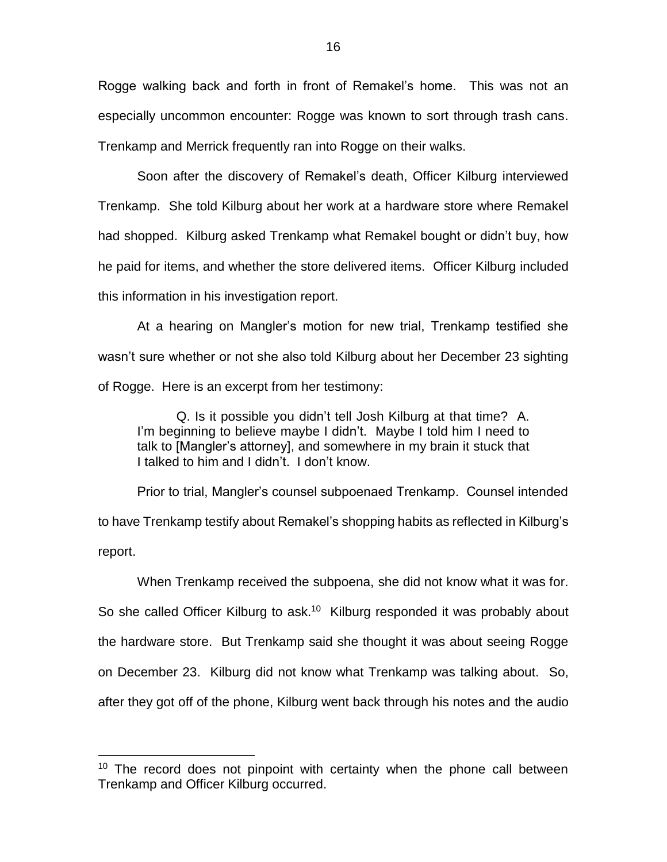Rogge walking back and forth in front of Remakel's home. This was not an especially uncommon encounter: Rogge was known to sort through trash cans. Trenkamp and Merrick frequently ran into Rogge on their walks.

Soon after the discovery of Remakel's death, Officer Kilburg interviewed Trenkamp. She told Kilburg about her work at a hardware store where Remakel had shopped. Kilburg asked Trenkamp what Remakel bought or didn't buy, how he paid for items, and whether the store delivered items. Officer Kilburg included this information in his investigation report.

At a hearing on Mangler's motion for new trial, Trenkamp testified she wasn't sure whether or not she also told Kilburg about her December 23 sighting of Rogge. Here is an excerpt from her testimony:

Q. Is it possible you didn't tell Josh Kilburg at that time? A. I'm beginning to believe maybe I didn't. Maybe I told him I need to talk to [Mangler's attorney], and somewhere in my brain it stuck that I talked to him and I didn't. I don't know.

Prior to trial, Mangler's counsel subpoenaed Trenkamp. Counsel intended to have Trenkamp testify about Remakel's shopping habits as reflected in Kilburg's report.

When Trenkamp received the subpoena, she did not know what it was for. So she called Officer Kilburg to ask.<sup>10</sup> Kilburg responded it was probably about the hardware store. But Trenkamp said she thought it was about seeing Rogge on December 23. Kilburg did not know what Trenkamp was talking about. So, after they got off of the phone, Kilburg went back through his notes and the audio

<sup>&</sup>lt;sup>10</sup> The record does not pinpoint with certainty when the phone call between Trenkamp and Officer Kilburg occurred.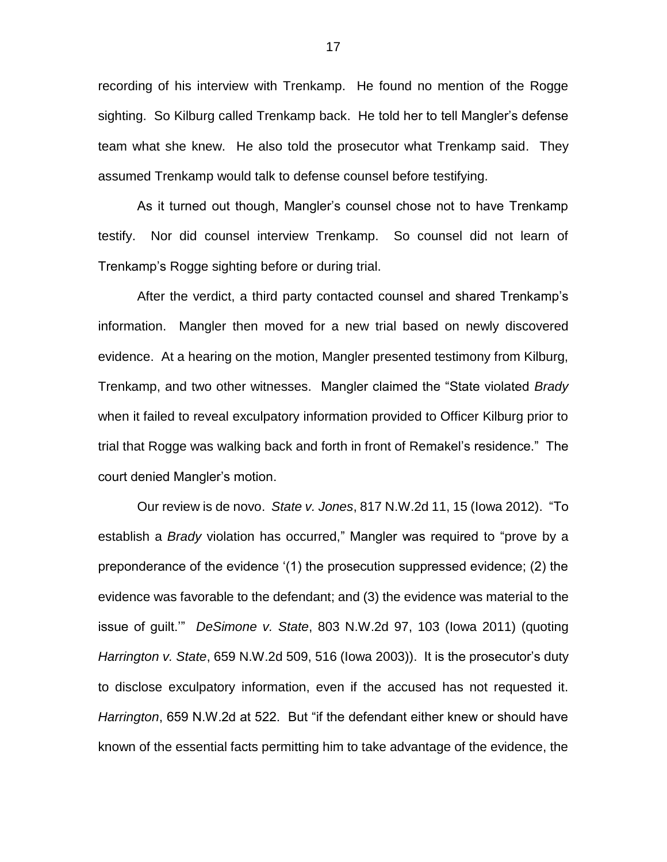recording of his interview with Trenkamp. He found no mention of the Rogge sighting. So Kilburg called Trenkamp back. He told her to tell Mangler's defense team what she knew. He also told the prosecutor what Trenkamp said. They assumed Trenkamp would talk to defense counsel before testifying.

As it turned out though, Mangler's counsel chose not to have Trenkamp testify. Nor did counsel interview Trenkamp. So counsel did not learn of Trenkamp's Rogge sighting before or during trial.

After the verdict, a third party contacted counsel and shared Trenkamp's information. Mangler then moved for a new trial based on newly discovered evidence. At a hearing on the motion, Mangler presented testimony from Kilburg, Trenkamp, and two other witnesses. Mangler claimed the "State violated *Brady* when it failed to reveal exculpatory information provided to Officer Kilburg prior to trial that Rogge was walking back and forth in front of Remakel's residence." The court denied Mangler's motion.

Our review is de novo. *State v. Jones*, 817 N.W.2d 11, 15 (Iowa 2012). "To establish a *Brady* violation has occurred," Mangler was required to "prove by a preponderance of the evidence '(1) the prosecution suppressed evidence; (2) the evidence was favorable to the defendant; and (3) the evidence was material to the issue of guilt.'" *DeSimone v. State*, 803 N.W.2d 97, 103 (Iowa 2011) (quoting *Harrington v. State*, 659 N.W.2d 509, 516 (Iowa 2003)). It is the prosecutor's duty to disclose exculpatory information, even if the accused has not requested it. *Harrington*, 659 N.W.2d at 522. But "if the defendant either knew or should have known of the essential facts permitting him to take advantage of the evidence, the